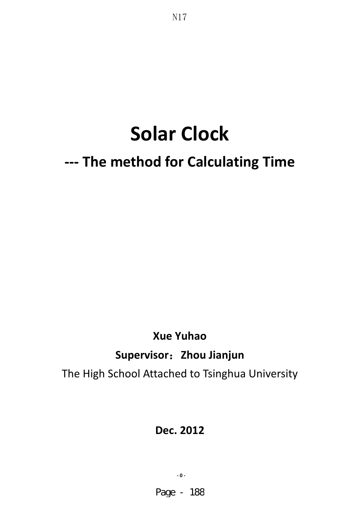# **Solar Clock**

N17

## **--- The method for Calculating Time**

## **Xue Yuhao Supervisor**˖**Zhou Jianjun**  The High School Attached to Tsinghua University

## **Dec. 2012**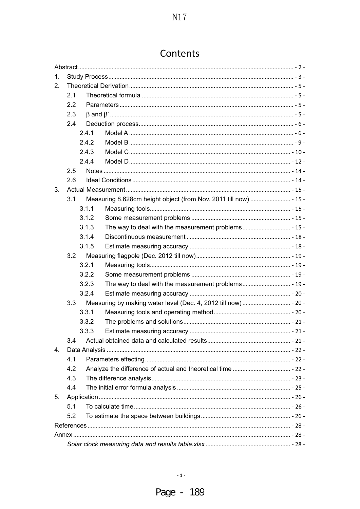| Contents |  |
|----------|--|
|----------|--|

| 1. |                  |       |  |  |  |
|----|------------------|-------|--|--|--|
| 2. |                  |       |  |  |  |
|    | 2.1              |       |  |  |  |
|    | $2.2\phantom{0}$ |       |  |  |  |
|    | 2.3              |       |  |  |  |
|    | 2.4              |       |  |  |  |
|    |                  | 2.4.1 |  |  |  |
|    |                  | 2.4.2 |  |  |  |
|    |                  | 2.4.3 |  |  |  |
|    |                  | 2.4.4 |  |  |  |
|    | 2.5              |       |  |  |  |
|    | 2.6              |       |  |  |  |
| 3. |                  |       |  |  |  |
|    | 3.1              |       |  |  |  |
|    |                  | 3.1.1 |  |  |  |
|    |                  | 3.1.2 |  |  |  |
|    |                  | 3.1.3 |  |  |  |
|    |                  | 3.1.4 |  |  |  |
|    |                  | 3.1.5 |  |  |  |
|    | 3.2              |       |  |  |  |
|    |                  | 3.2.1 |  |  |  |
|    |                  | 3.2.2 |  |  |  |
|    |                  | 3.2.3 |  |  |  |
|    |                  | 3.2.4 |  |  |  |
|    | 3.3              |       |  |  |  |
|    |                  | 3.3.1 |  |  |  |
|    |                  | 3.3.2 |  |  |  |
|    |                  | 3.3.3 |  |  |  |
|    | 3.4              |       |  |  |  |
| 4. |                  |       |  |  |  |
|    | 4.1              |       |  |  |  |
|    | 4.2              |       |  |  |  |
|    | 4.3              |       |  |  |  |
|    | 4.4              |       |  |  |  |
| 5. |                  |       |  |  |  |
|    | 5.1              |       |  |  |  |
|    | 5.2              |       |  |  |  |
|    |                  |       |  |  |  |
|    |                  |       |  |  |  |
|    |                  |       |  |  |  |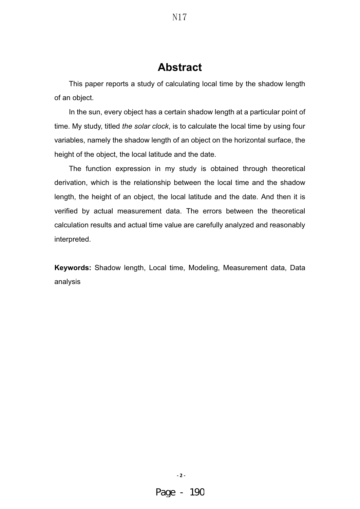## **Abstract**

N17

This paper reports a study of calculating local time by the shadow length of an object.

In the sun, every object has a certain shadow length at a particular point of time. My study, titled *the solar clock*, is to calculate the local time by using four variables, namely the shadow length of an object on the horizontal surface, the height of the object, the local latitude and the date.

The function expression in my study is obtained through theoretical derivation, which is the relationship between the local time and the shadow length, the height of an object, the local latitude and the date. And then it is verified by actual measurement data. The errors between the theoretical calculation results and actual time value are carefully analyzed and reasonably interpreted.

**Keywords:** Shadow length, Local time, Modeling, Measurement data, Data analysis

**- 2 -**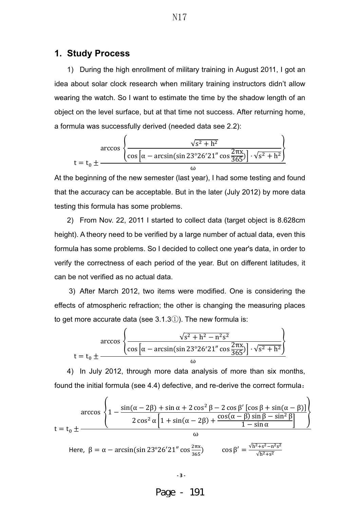#### **1. Study Process**

1) During the high enrollment of military training in August 2011, I got an idea about solar clock research when military training instructors didn't allow wearing the watch. So I want to estimate the time by the shadow length of an object on the level surface, but at that time not success. After returning home, a formula was successfully derived (needed data see 2.2):

$$
\arccos \left\{ \frac{\sqrt{s^2 + h^2}}{\cos \left[ \alpha - \arcsin(\sin 23^\circ 26^\prime 21'' \cos \frac{2\pi x}{365}) \right] \cdot \sqrt{s^2 + h^2}} \right\}
$$

At the beginning of the new semester (last year), I had some testing and found that the accuracy can be acceptable. But in the later (July 2012) by more data testing this formula has some problems.

2) From Nov. 22, 2011 I started to collect data (target object is 8.628cm height). A theory need to be verified by a large number of actual data, even this formula has some problems. So I decided to collect one year's data, in order to verify the correctness of each period of the year. But on different latitudes, it can be not verified as no actual data.

3) After March 2012, two items were modified. One is considering the effects of atmospheric refraction; the other is changing the measuring places to get more accurate data (see  $3.1.3(i)$ ). The new formula is:

$$
\arccos \left\{ \frac{\sqrt{s^2 + h^2 - n^2 s^2}}{\cos \left[ \alpha - \arcsin(\sin 23^\circ 26^\prime 21'' \cos \frac{2\pi x}{365}) \right] \cdot \sqrt{s^2 + h^2}} \right\}
$$
  

$$
t = t_0 \pm \frac{\cos \left[ \alpha - \arcsin(\sin 23^\circ 26^\prime 21'' \cos \frac{2\pi x}{365}) \right] \cdot \sqrt{s^2 + h^2}}{\omega}
$$

4) In July 2012, through more data analysis of more than six months, found the initial formula (see 4.4) defective, and re-derive the correct formula:

$$
\arccos\left\{1 - \frac{\sin(\alpha - 2\beta) + \sin \alpha + 2\cos^2 \beta - 2\cos \beta' \left[\cos \beta + \sin(\alpha - \beta)\right]}{2\cos^2 \alpha \left[1 + \sin(\alpha - 2\beta) + \frac{\cos(\alpha - \beta)\sin \beta - \sin^2 \beta}{1 - \sin \alpha}\right]}\right\}
$$
  
Here,  $\beta = \alpha - \arcsin(\sin 23^\circ 26' 21'' \cos \frac{2\pi x}{365})$   $\cos \beta' = \frac{\sqrt{h^2 + s^2 - n^2 s^2}}{\sqrt{h^2 + s^2}}$ 

$$
N17
$$

Page - 191

**- 3 -**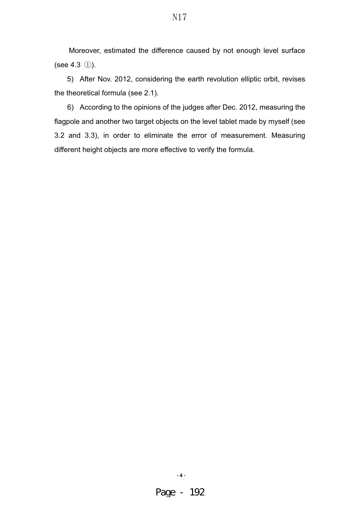Moreover, estimated the difference caused by not enough level surface (see 4.3  $(i)$ ).

5) After Nov. 2012, considering the earth revolution elliptic orbit, revises the theoretical formula (see 2.1).

6) According to the opinions of the judges after Dec. 2012, measuring the flagpole and another two target objects on the level tablet made by myself (see 3.2 and 3.3), in order to eliminate the error of measurement. Measuring different height objects are more effective to verify the formula.

**- 4 -**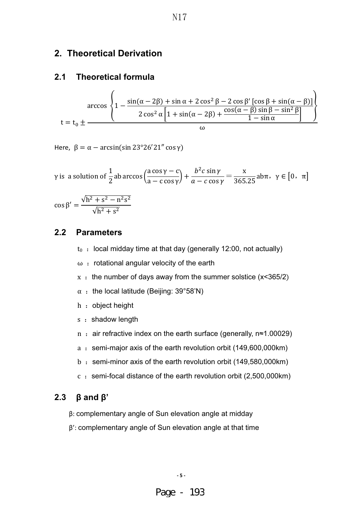#### **2. Theoretical Derivation**

#### **2.1 Theoretical formula**

$$
\arccos \left\{ 1 - \frac{\sin(\alpha - 2\beta) + \sin \alpha + 2\cos^2 \beta - 2\cos \beta' \left[ \cos \beta + \sin(\alpha - \beta) \right]}{2\cos^2 \alpha \left[ 1 + \sin(\alpha - 2\beta) + \frac{\cos(\alpha - \beta)\sin \beta - \sin^2 \beta}{1 - \sin \alpha} \right]} \right\}
$$

Here,  $\beta = \alpha - \arcsin(\sin 23^{\circ}26'21'' \cos \gamma)$ 

$$
\gamma \text{ is a solution of } \frac{1}{2} \text{ ab } \arccos\left(\frac{a \cos \gamma - c}{a - c \cos \gamma}\right) + \frac{b^2 c \sin \gamma}{a - c \cos \gamma} = \frac{x}{365.25} \text{ ab } \pi, \ \gamma \in [0, \ \pi]
$$

$$
\cos \beta' = \frac{\sqrt{h^2 + s^2 - n^2 s^2}}{\sqrt{h^2 + s^2}}
$$

#### **2.2 Parameters**

- $t_0$  : local midday time at that day (generally 12:00, not actually)
- $ω$  : rotational angular velocity of the earth
- $x :$  the number of days away from the summer solstice (x<365/2)
- $\alpha$  : the local latitude (Beijing: 39°58'N)
- h : object height
- s : shadow length
- n : air refractive index on the earth surface (generally,  $n≈1.00029$ )
- a : semi-major axis of the earth revolution orbit (149,600,000km)
- b : semi-minor axis of the earth revolution orbit (149,580,000km)
- $c :$  semi-focal distance of the earth revolution orbit (2,500,000km)

#### **2.3 β and β'**

- β: complementary angle of Sun elevation angle at midday
- β': complementary angle of Sun elevation angle at that time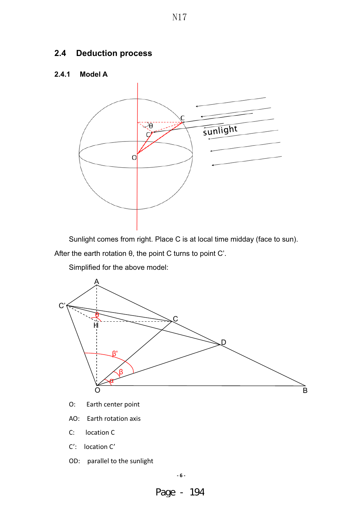## **2.4 Deduction process**

#### **2.4.1 Model A**



Sunlight comes from right. Place C is at local time midday (face to sun).

After the earth rotation θ, the point C turns to point C'.

Simplified for the above model:



O: Earth center point

AO: Earth rotation axis

C: location C

C': location C'

OD: parallel to the sunlight

Page - 194

**- 6 -**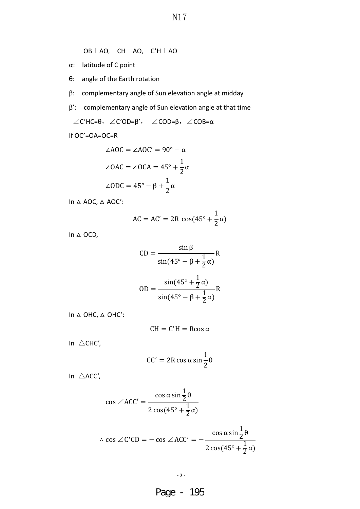- OB $\perp$ AO, CH $\perp$ AO, C'H $\perp$ AO
- α: latitude of C point
- θ: angle of the Earth rotation
- β: complementary angle of Sun elevation angle at midday
- β': complementary angle of Sun elevation angle at that time

 $\angle$ C'HC=θ,  $\angle$ C'OD=β',  $\angle$ COD=β,  $\angle$ COB=α

If OC'=OA=OC=R

$$
\angle AOC = \angle AOC' = 90^\circ - \alpha
$$
  

$$
\angle OAC = \angle OCA = 45^\circ + \frac{1}{2}\alpha
$$
  

$$
\angle ODC = 45^\circ - \beta + \frac{1}{2}\alpha
$$

In  $\triangle$  AOC,  $\triangle$  AOC':

$$
AC = AC' = 2R \cos(45^\circ + \frac{1}{2}\alpha)
$$

In △ OCD,

$$
CD = \frac{\sin \beta}{\sin(45^\circ - \beta + \frac{1}{2}\alpha)} R
$$

$$
OD = \frac{\sin(45^\circ + \frac{1}{2}\alpha)}{\sin(45^\circ - \beta + \frac{1}{2}\alpha)} R
$$

In △ OHC, △ OHC':

$$
CH = C'H = R\cos\alpha
$$

In  $\triangle$ CHC',

$$
CC' = 2R\cos\alpha\sin\frac{1}{2}\theta
$$

In  $\triangle$ ACC',

$$
\cos \angle ACC' = \frac{\cos \alpha \sin \frac{1}{2}\theta}{2\cos(45^\circ + \frac{1}{2}\alpha)}
$$

$$
\therefore \cos \angle C'CD = -\cos \angle ACC' = -\frac{\cos \alpha \sin \frac{1}{2}\theta}{2\cos(45^\circ + \frac{1}{2}\alpha)}
$$

$$
\overline{\phantom{a}}\cdot 7\cdot
$$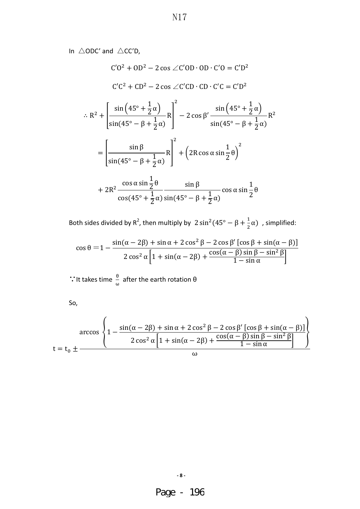In  $\triangle$ ODC' and  $\triangle$ CC'D,

$$
C'O2 + OD2 - 2 cos \angle C'OD \cdot OD \cdot C'O = C'D2
$$
  
\n
$$
C'C2 + CD2 - 2 cos \angle C'CD \cdot CD \cdot C'C = C'D2
$$
  
\n
$$
\therefore R2 + \left[ \frac{\sin (45^\circ + \frac{1}{2}\alpha)}{\sin(45^\circ - \beta + \frac{1}{2}\alpha)} R \right]^2 - 2 cos \beta' \frac{\sin (45^\circ + \frac{1}{2}\alpha)}{\sin(45^\circ - \beta + \frac{1}{2}\alpha)} R2
$$
  
\n
$$
= \left[ \frac{\sin \beta}{\sin(45^\circ - \beta + \frac{1}{2}\alpha)} R \right]^2 + \left( 2R \cos \alpha \sin \frac{1}{2}\theta \right)^2
$$
  
\n
$$
+ 2R2 \frac{\cos \alpha \sin \frac{1}{2}\theta}{\cos(45^\circ + \frac{1}{2}\alpha)} \frac{\sin \beta}{\sin(45^\circ - \beta + \frac{1}{2}\alpha)} \cos \alpha \sin \frac{1}{2}\theta
$$

Both sides divided by R<sup>2</sup>, then multiply by  $2 \sin^2(45^\circ - \beta + \frac{1}{2}\alpha)$ , simplified:

$$
\cos\theta = 1 - \frac{\sin(\alpha - 2\beta) + \sin\alpha + 2\cos^2\beta - 2\cos\beta'\left[\cos\beta + \sin(\alpha - \beta)\right]}{2\cos^2\alpha\left[1 + \sin(\alpha - 2\beta) + \frac{\cos(\alpha - \beta)\sin\beta - \sin^2\beta}{1 - \sin\alpha}\right]}
$$

**∵** It takes time  $\frac{\theta}{\theta}$  $\frac{0}{\omega}$  after the earth rotation θ

So,

$$
\arccos\left\{1-\frac{\sin(\alpha-2\beta)+\sin\alpha+2\cos^2\beta-2\cos\beta'\left[\cos\beta+\sin(\alpha-\beta)\right]}{2\cos^2\alpha\left[1+\sin(\alpha-2\beta)+\frac{\cos(\alpha-\beta)\sin\beta-\sin^2\beta}{1-\sin\alpha}\right]}\right\}
$$

**- 8 -**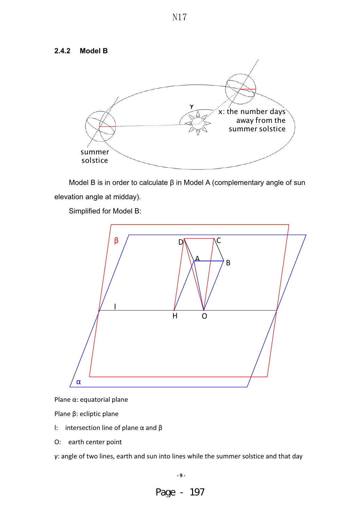#### **2.4.2 Model B**



Model B is in order to calculate β in Model A (complementary angle of sun elevation angle at midday).

Simplified for Model B:



Plane α: equatorial plane

Plane β: ecliptic plane

- l: intersection line of plane  $\alpha$  and  $\beta$
- O: earth center point

γ: angle of two lines, earth and sun into lines while the summer solstice and that day

Page - 197

**- 9 -**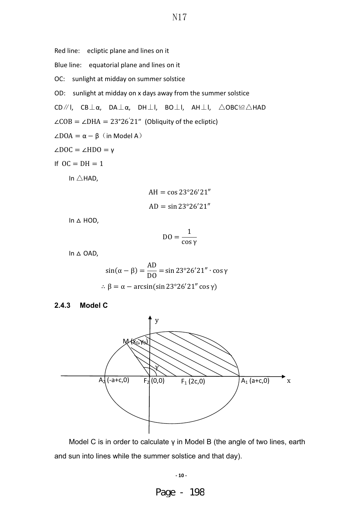Red line: ecliptic plane and lines on it

Blue line: equatorial plane and lines on it

OC: sunlight at midday on summer solstice

OD: sunlight at midday on x days away from the summer solstice

CD/ $\sqrt{}$ |, CB $\perp$ α, DA $\perp$ α, DH $\perp$ |, BO $\perp$ |, AH $\perp$ |,  $\triangle$ OBC≌ $\triangle$ HAD

 $\angle COB = \angle DHA = 23^{\circ}26'21''$  (Obliquity of the ecliptic)

 $\angle$ DOA =  $\alpha - \beta$  (in Model A)

$$
\angle DOC = \angle HDO = \gamma
$$

If  $OC = DH = 1$ 

In  $\triangle$ HAD,

$$
AH = \cos 23^{\circ}26'21''
$$

$$
AD = \sin 23^{\circ}26'21''
$$

In △ HOD,

$$
DO = \frac{1}{\cos \gamma}
$$

In △ OAD,

$$
\sin(\alpha - \beta) = \frac{AD}{DO} = \sin 23^{\circ}26'21'' \cdot \cos \gamma
$$
  
 
$$
\therefore \beta = \alpha - \arcsin(\sin 23^{\circ}26'21'' \cos \gamma)
$$

**2.4.3 Model C** 



Model C is in order to calculate γ in Model B (the angle of two lines, earth and sun into lines while the summer solstice and that day).

#### **- 10 -**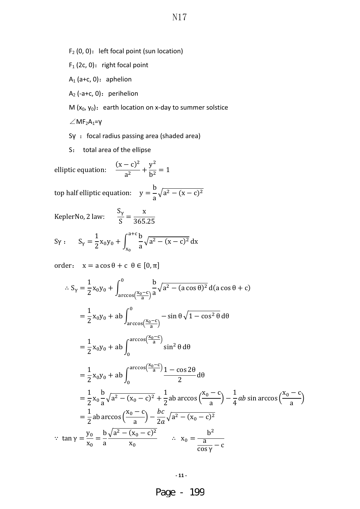- $F_1$  (2c, 0): right focal point
- $A_1$  (a+c, 0): aphelion

 $A_2$  (-a+c, 0): perihelion

M  $(x_0, y_0)$ : earth location on x-day to summer solstice

 $\angle$ MF<sub>2</sub>A<sub>1</sub>=γ

Sγ : focal radius passing area (shaded area)

S: total area of the ellipse

elliptic equation:  $\frac{(x-c)^2}{a^2} + \frac{y^2}{b^2} = 1$ 

top half elliptic equation:  $y =$ b a  $\sqrt{a^2 - (x - c)^2}$ 

KeplerNo, 2 law:  $\frac{S_{\gamma}}{S} = \frac{x}{365.25}$ 

$$
S_Y
$$
:  $S_Y = \frac{1}{2}x_0y_0 + \int_{x_0}^{a+c} \frac{b}{a} \sqrt{a^2 - (x - c)^2} dx$ 

order:  $x = a \cos \theta + c \theta \in [0, \pi]$ 

$$
S_{\gamma} = \frac{1}{2}x_0y_0 + \int_{\arccos\left(\frac{x_0 - c}{a}\right)}^{0} \frac{b}{a}\sqrt{a^2 - (a\cos\theta)^2} d(a\cos\theta + c)
$$
  
\n
$$
= \frac{1}{2}x_0y_0 + ab \int_{\arccos\left(\frac{x_0 - c}{a}\right)}^{0} - \sin\theta\sqrt{1 - \cos^2\theta} d\theta
$$
  
\n
$$
= \frac{1}{2}x_0y_0 + ab \int_0^{\arccos\left(\frac{x_0 - c}{a}\right)} \sin^2\theta d\theta
$$
  
\n
$$
= \frac{1}{2}x_0y_0 + ab \int_0^{\arccos\left(\frac{x_0 - c}{a}\right)} \frac{1 - \cos 2\theta}{2} d\theta
$$
  
\n
$$
= \frac{1}{2}x_0\frac{b}{a}\sqrt{a^2 - (x_0 - c)^2} + \frac{1}{2}ab\arccos\left(\frac{x_0 - c}{a}\right) - \frac{1}{4}ab\sin\arccos\left(\frac{x_0 - c}{a}\right)
$$
  
\n
$$
= \frac{1}{2}ab\arccos\left(\frac{x_0 - c}{a}\right) - \frac{bc}{2a}\sqrt{a^2 - (x_0 - c)^2}
$$
  
\n
$$
\therefore \tan\gamma = \frac{y_0}{x_0} = \frac{b}{a}\frac{\sqrt{a^2 - (x_0 - c)^2}}{x_0} \qquad \therefore \qquad x_0 = \frac{b^2}{\frac{a}{\cos\gamma} - c}
$$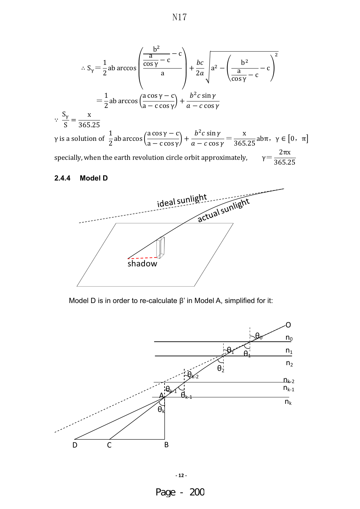$$
\therefore S_{\gamma} = \frac{1}{2}ab \arccos \left( \frac{\frac{b^{2}}{\cos \gamma} - c}{a} \right) + \frac{bc}{2a} \sqrt{a^{2} - \left( \frac{b^{2}}{\cos \gamma} - c \right)^{2}}
$$
  
\n
$$
= \frac{1}{2}ab \arccos \left( \frac{a \cos \gamma - c}{a - c \cos \gamma} \right) + \frac{b^{2}c \sin \gamma}{a - c \cos \gamma}
$$
  
\n
$$
\therefore \frac{S_{\gamma}}{S} = \frac{x}{365.25}
$$
  
\n
$$
\gamma \text{ is a solution of } \frac{1}{2}ab \arccos \left( \frac{a \cos \gamma - c}{a - c \cos \gamma} \right) + \frac{b^{2}c \sin \gamma}{a - c \cos \gamma} = \frac{x}{365.25}ab\pi, \ \gamma \in [0, \ \pi]
$$
  
\nspecially, when the earth revolution circle orbit approximately,  $\gamma = \frac{2\pi x}{365.25}$ 

## **2.4.4 Model D**



Model D is in order to re-calculate β' in Model A, simplified for it:

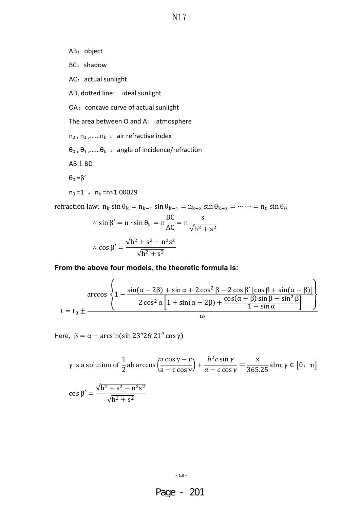AB: object BC: shadow AC: actual sunlight AD, dotted line: ideal sunlight OA: concave curve of actual sunlight The area between O and A: atmosphere  $n_0$ ,  $n_1$ , ...  $n_k$  : air refractive index  $\theta_0$ ,  $\theta_1$ , ...... $\theta_k$  : angle of incidence/refraction  $AB \perp BD$  $θ_0 = β'$  $n_0 = 1$ ,  $n_k = n \approx 1.00029$ 

refraction law:  $n_k \sin \theta_k = n_{k-1} \sin \theta_{k-1} = n_{k-2} \sin \theta_{k-2} = \cdots = n_0 \sin \theta_0$ 

$$
\therefore \sin \beta' = n \cdot \sin \theta_k = n \frac{BC}{AC} = n \frac{s}{\sqrt{h^2 + s^2}}
$$

$$
\therefore \cos \beta' = \frac{\sqrt{h^2 + s^2 - n^2 s^2}}{\sqrt{h^2 + s^2}}
$$

**From the above four models, the theoretic formula is:** 

$$
\arccos \left\{ 1 - \frac{\sin(\alpha - 2\beta) + \sin \alpha + 2\cos^2 \beta - 2\cos \beta' \left[ \cos \beta + \sin(\alpha - \beta) \right]}{2\cos^2 \alpha \left[ 1 + \sin(\alpha - 2\beta) + \frac{\cos(\alpha - \beta)\sin \beta - \sin^2 \beta}{1 - \sin \alpha} \right]} \right\}
$$

Here,  $\beta = \alpha - \arcsin(\sin 23^{\circ}26'21'' \cos \gamma)$ 

$$
\gamma \text{ is a solution of } \frac{1}{2} \text{ ab } \arccos\left(\frac{a \cos\gamma - c}{a - c \cos\gamma}\right) + \frac{b^2 c \sin\gamma}{a - c \cos\gamma} = \frac{x}{365.25} \text{ ab } \pi, \gamma \in [0, \pi]
$$

$$
\cos\beta' = \frac{\sqrt{h^2 + s^2 - n^2 s^2}}{\sqrt{h^2 + s^2}}
$$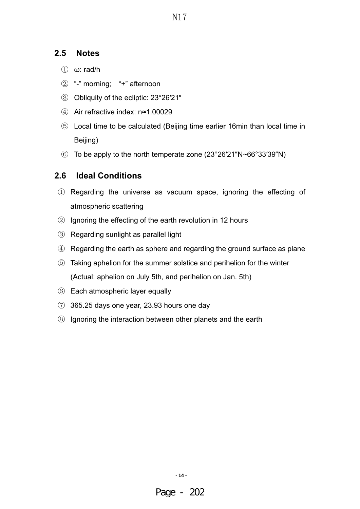#### **2.5 Notes**

- $(i)$  ω: rad/h
- $(2)$  "-" morning; "+" afternoon
- Ĺ Obliquity of the ecliptic: 23°26′21″
- ĺ Air refractive index: n≈1.00029
- **5** Local time to be calculated (Beijing time earlier 16min than local time in Beijing)
- $\odot$  To be apply to the north temperate zone (23°26'21"N~66°33'39"N)

#### **2.6 Ideal Conditions**

- ķ Regarding the universe as vacuum space, ignoring the effecting of atmospheric scattering
- $\circled{2}$  Ignoring the effecting of the earth revolution in 12 hours
- **3** Regarding sunlight as parallel light
- $\Phi$  Regarding the earth as sphere and regarding the ground surface as plane
- Ļ Taking aphelion for the summer solstice and perihelion for the winter (Actual: aphelion on July 5th, and perihelion on Jan. 5th)
- ļ Each atmospheric layer equally
- $\heartsuit$  365.25 days one year, 23.93 hours one day
- ľ Ignoring the interaction between other planets and the earth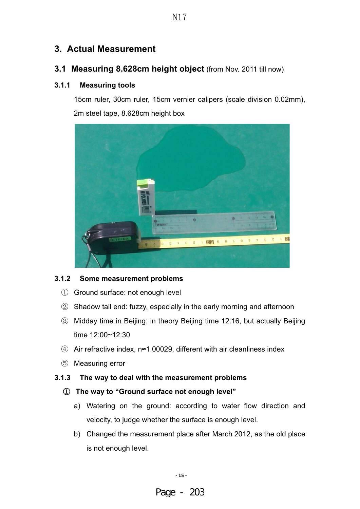## **3. Actual Measurement**

#### **3.1 Measuring 8.628cm height object** (from Nov. 2011 till now)

#### **3.1.1 Measuring tools**

15cm ruler, 30cm ruler, 15cm vernier calipers (scale division 0.02mm), 2m steel tape, 8.628cm height box



#### **3.1.2 Some measurement problems**

- 1) Ground surface: not enough level
- $\oslash$  Shadow tail end: fuzzy, especially in the early morning and afternoon
- **3** Midday time in Beijing: in theory Beijing time 12:16, but actually Beijing time 12:00~12:30
- $\phi$  Air refractive index, n≈1.00029, different with air cleanliness index
- $\circled{5}$  Measuring error

#### **3.1.3 The way to deal with the measurement problems**

#### ķ **The way to "Ground surface not enough level"**

- a) Watering on the ground: according to water flow direction and velocity, to judge whether the surface is enough level.
- b) Changed the measurement place after March 2012, as the old place is not enough level.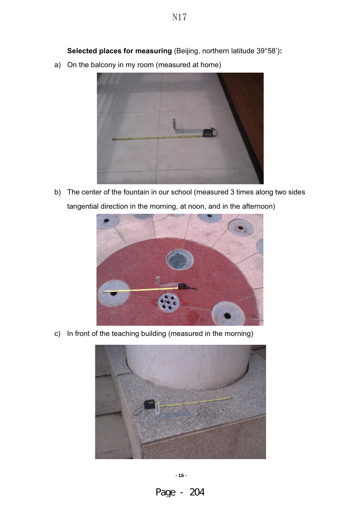**Selected places for measuring** (Beijing, northern latitude 39°58')**:** 

a) On the balcony in my room (measured at home)



b) The center of the fountain in our school (measured 3 times along two sides tangential direction in the morning, at noon, and in the afternoon)



c) In front of the teaching building (measured in the morning)



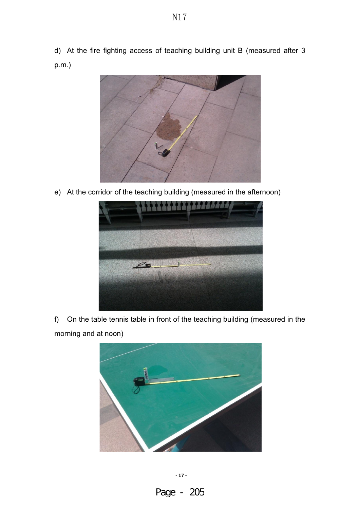d) At the fire fighting access of teaching building unit B (measured after 3 p.m.)

N17



e) At the corridor of the teaching building (measured in the afternoon)



f) On the table tennis table in front of the teaching building (measured in the morning and at noon)

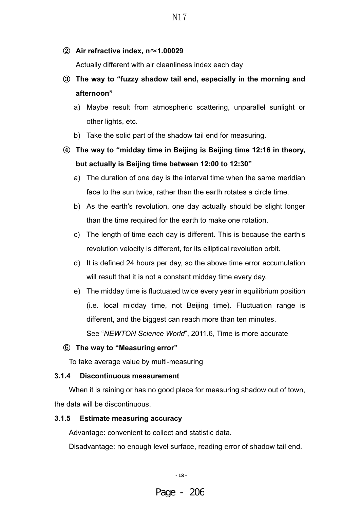#### **②** Air refractive index, n≈1.00029

Actually different with air cleanliness index each day

## Ĺ **The way to "fuzzy shadow tail end, especially in the morning and afternoon"**

- a) Maybe result from atmospheric scattering, unparallel sunlight or other lights, etc.
- b) Take the solid part of the shadow tail end for measuring.

## ĺ **The way to "midday time in Beijing is Beijing time 12:16 in theory, but actually is Beijing time between 12:00 to 12:30"**

- a) The duration of one day is the interval time when the same meridian face to the sun twice, rather than the earth rotates a circle time.
- b) As the earth's revolution, one day actually should be slight longer than the time required for the earth to make one rotation.
- c) The length of time each day is different. This is because the earth's revolution velocity is different, for its elliptical revolution orbit.
- d) It is defined 24 hours per day, so the above time error accumulation will result that it is not a constant midday time every day.
- e) The midday time is fluctuated twice every year in equilibrium position (i.e. local midday time, not Beijing time). Fluctuation range is different, and the biggest can reach more than ten minutes. See "*NEWTON Science World*", 2011.6, Time is more accurate

#### Ļ **The way to "Measuring error"**

To take average value by multi-measuring

#### **3.1.4 Discontinuous measurement**

When it is raining or has no good place for measuring shadow out of town, the data will be discontinuous.

#### **3.1.5 Estimate measuring accuracy**

Advantage: convenient to collect and statistic data.

Disadvantage: no enough level surface, reading error of shadow tail end.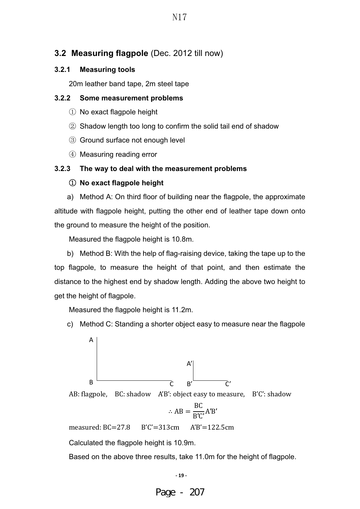#### **3.2 Measuring flagpole** (Dec. 2012 till now)

#### **3.2.1 Measuring tools**

20m leather band tape, 2m steel tape

#### **3.2.2 Some measurement problems**

- $\bigcirc$  No exact flagpole height
- $\oslash$  Shadow length too long to confirm the solid tail end of shadow
- **3** Ground surface not enough level
- **4** Measuring reading error

#### **3.2.3 The way to deal with the measurement problems**

#### ķ **No exact flagpole height**

a) Method A: On third floor of building near the flagpole, the approximate altitude with flagpole height, putting the other end of leather tape down onto the ground to measure the height of the position.

Measured the flagpole height is 10.8m.

b) Method B: With the help of flag-raising device, taking the tape up to the top flagpole, to measure the height of that point, and then estimate the distance to the highest end by shadow length. Adding the above two height to get the height of flagpole.

Measured the flagpole height is 11.2m.

c) Method C: Standing a shorter object easy to measure near the flagpole



AB: flagpole, BC: shadow A'B': object easy to measure, B'C': shadow

$$
\therefore AB = \frac{BC}{B'C'}A'B'
$$

measured: BC=27.8 B'C'=313cm A'B'=122.5cm

Calculated the flagpole height is 10.9m.

Based on the above three results, take 11.0m for the height of flagpole.

**- 19 -**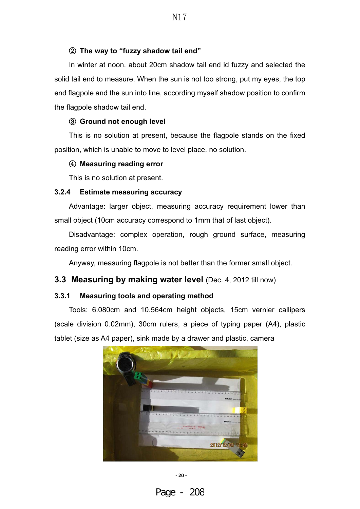#### **(2) The way to "fuzzy shadow tail end"**

In winter at noon, about 20cm shadow tail end id fuzzy and selected the solid tail end to measure. When the sun is not too strong, put my eyes, the top end flagpole and the sun into line, according myself shadow position to confirm the flagpole shadow tail end.

#### **(3) Ground not enough level**

This is no solution at present, because the flagpole stands on the fixed position, which is unable to move to level place, no solution.

#### ĺ **Measuring reading error**

This is no solution at present.

#### **3.2.4 Estimate measuring accuracy**

Advantage: larger object, measuring accuracy requirement lower than small object (10cm accuracy correspond to 1mm that of last object).

Disadvantage: complex operation, rough ground surface, measuring reading error within 10cm.

Anyway, measuring flagpole is not better than the former small object.

#### **3.3 Measuring by making water level** (Dec. 4, 2012 till now)

#### **3.3.1 Measuring tools and operating method**

Tools: 6.080cm and 10.564cm height objects, 15cm vernier callipers (scale division 0.02mm), 30cm rulers, a piece of typing paper (A4), plastic tablet (size as A4 paper), sink made by a drawer and plastic, camera



**- 20 -**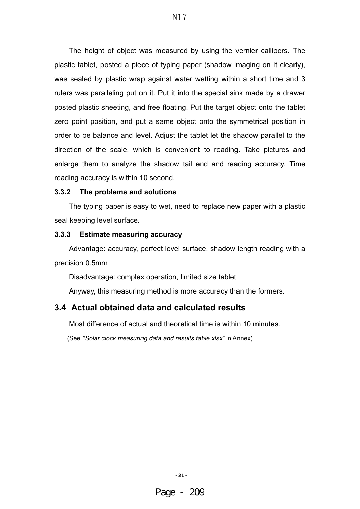The height of object was measured by using the vernier callipers. The plastic tablet, posted a piece of typing paper (shadow imaging on it clearly), was sealed by plastic wrap against water wetting within a short time and 3 rulers was paralleling put on it. Put it into the special sink made by a drawer posted plastic sheeting, and free floating. Put the target object onto the tablet zero point position, and put a same object onto the symmetrical position in order to be balance and level. Adjust the tablet let the shadow parallel to the direction of the scale, which is convenient to reading. Take pictures and enlarge them to analyze the shadow tail end and reading accuracy. Time reading accuracy is within 10 second.

#### **3.3.2 The problems and solutions**

The typing paper is easy to wet, need to replace new paper with a plastic seal keeping level surface.

#### **3.3.3 Estimate measuring accuracy**

Advantage: accuracy, perfect level surface, shadow length reading with a precision 0.5mm

Disadvantage: complex operation, limited size tablet

Anyway, this measuring method is more accuracy than the formers.

#### **3.4 Actual obtained data and calculated results**

Most difference of actual and theoretical time is within 10 minutes.

(See *"Solar clock measuring data and results table.xlsx"* in Annex)

**- 21 -**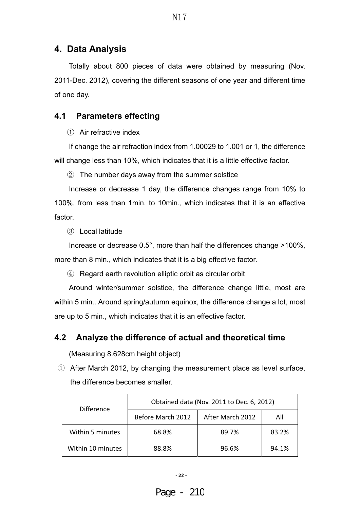## **4. Data Analysis**

Totally about 800 pieces of data were obtained by measuring (Nov. 2011-Dec. 2012), covering the different seasons of one year and different time of one day.

## **4.1 Parameters effecting**

 $(1)$  Air refractive index

If change the air refraction index from 1.00029 to 1.001 or 1, the difference will change less than 10%, which indicates that it is a little effective factor.

 $\circled{2}$  The number days away from the summer solstice

Increase or decrease 1 day, the difference changes range from 10% to 100%, from less than 1min. to 10min., which indicates that it is an effective factor.

(3) Local latitude

Increase or decrease 0.5°, more than half the differences change >100%, more than 8 min., which indicates that it is a big effective factor.

ĺ Regard earth revolution elliptic orbit as circular orbit

Around winter/summer solstice, the difference change little, most are within 5 min.. Around spring/autumn equinox, the difference change a lot, most are up to 5 min., which indicates that it is an effective factor.

## **4.2 Analyze the difference of actual and theoretical time**

(Measuring 8.628cm height object)

 $\overline{1}$  After March 2012, by changing the measurement place as level surface, the difference becomes smaller.

| <b>Difference</b> | Obtained data (Nov. 2011 to Dec. 6, 2012) |                  |       |  |
|-------------------|-------------------------------------------|------------------|-------|--|
|                   | Before March 2012                         | After March 2012 | All   |  |
| Within 5 minutes  | 68.8%                                     | 89.7%            | 83.2% |  |
| Within 10 minutes | 88.8%                                     | 96.6%            | 94.1% |  |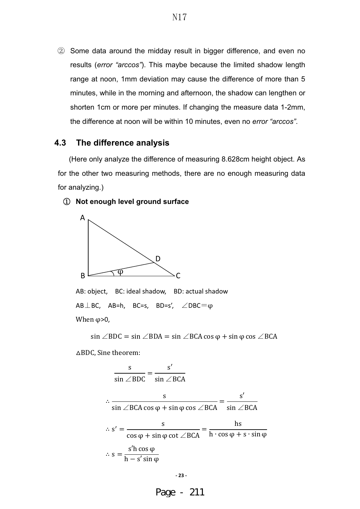$\circled{2}$  Some data around the midday result in bigger difference, and even no results (*error "arccos"*). This maybe because the limited shadow length range at noon, 1mm deviation may cause the difference of more than 5 minutes, while in the morning and afternoon, the shadow can lengthen or shorten 1cm or more per minutes. If changing the measure data 1-2mm, the difference at noon will be within 10 minutes, even no *error "arccos"*.

#### **4.3 The difference analysis**

(Here only analyze the difference of measuring 8.628cm height object. As for the other two measuring methods, there are no enough measuring data for analyzing.)

#### ķ **Not enough level ground surface**



AB: object, BC: ideal shadow, BD: actual shadow  $AB \perp BC$ , AB=h, BC=s, BD=s',  $\angle$ DBC $= \varphi$ When  $\varphi$ >0,

$$
\sin \angle BDC = \sin \angle BDA = \sin \angle BCA \cos \varphi + \sin \varphi \cos \angle BCA
$$

△BDC, Sine theorem:

$$
\frac{s}{\sin \angle BDC} = \frac{s'}{\sin \angle BCA}
$$
  

$$
\therefore \frac{s}{\sin \angle BCA \cos \varphi + \sin \varphi \cos \angle BCA} = \frac{s'}{\sin \angle BCA}
$$
  

$$
\therefore s' = \frac{s}{\cos \varphi + \sin \varphi \cot \angle BCA} = \frac{hs}{h \cdot \cos \varphi + s \cdot \sin \varphi}
$$
  

$$
\therefore s = \frac{s'h \cos \varphi}{h - s' \sin \varphi}
$$

$$
-23-
$$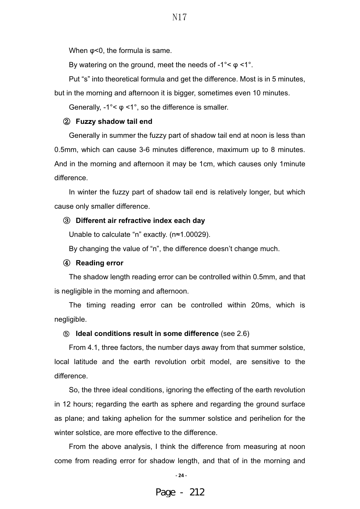When φ<0, the formula is same.

By watering on the ground, meet the needs of  $-1^{\circ} < \varphi < 1^{\circ}$ .

Put "s" into theoretical formula and get the difference. Most is in 5 minutes,

but in the morning and afternoon it is bigger, sometimes even 10 minutes.

Generally,  $-1^{\circ} < \varphi < 1^{\circ}$ , so the difference is smaller.

#### **(2) Fuzzy shadow tail end**

Generally in summer the fuzzy part of shadow tail end at noon is less than 0.5mm, which can cause 3-6 minutes difference, maximum up to 8 minutes. And in the morning and afternoon it may be 1cm, which causes only 1minute difference.

In winter the fuzzy part of shadow tail end is relatively longer, but which cause only smaller difference.

#### **3** Different air refractive index each day

Unable to calculate "n" exactly. (n≈1.00029).

By changing the value of "n", the difference doesn't change much.

#### ĺ **Reading error**

The shadow length reading error can be controlled within 0.5mm, and that is negligible in the morning and afternoon.

The timing reading error can be controlled within 20ms, which is negligible.

#### **(6)** Ideal conditions result in some difference (see 2.6)

From 4.1, three factors, the number days away from that summer solstice, local latitude and the earth revolution orbit model, are sensitive to the difference.

So, the three ideal conditions, ignoring the effecting of the earth revolution in 12 hours; regarding the earth as sphere and regarding the ground surface as plane; and taking aphelion for the summer solstice and perihelion for the winter solstice, are more effective to the difference.

From the above analysis, I think the difference from measuring at noon come from reading error for shadow length, and that of in the morning and

**- 24 -**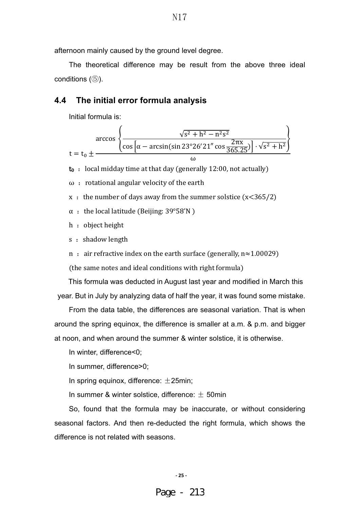afternoon mainly caused by the ground level degree.

The theoretical difference may be result from the above three ideal conditions  $(\mathbb{S})$ .

#### **4.4 The initial error formula analysis**

Initial formula is:



 $t_0$  : local midday time at that day (generally 12:00, not actually)

 $\omega$ : rotational angular velocity of the earth

 $x :$  the number of days away from the summer solstice (x<365/2)

 $\alpha$  : the local latitude (Beijing: 39°58'N )

- $h :$  object height
- s : shadow length
- n : air refractive index on the earth surface (generally,  $n \approx 1.00029$ )

(the same notes and ideal conditions with right formula)

This formula was deducted in August last year and modified in March this year. But in July by analyzing data of half the year, it was found some mistake.

From the data table, the differences are seasonal variation. That is when around the spring equinox, the difference is smaller at a.m. & p.m. and bigger at noon, and when around the summer & winter solstice, it is otherwise.

In winter, difference<0;

In summer, difference>0;

In spring equinox, difference:  $\pm 25$ min;

In summer & winter solstice, difference:  $\pm$  50min

So, found that the formula may be inaccurate, or without considering seasonal factors. And then re-deducted the right formula, which shows the difference is not related with seasons.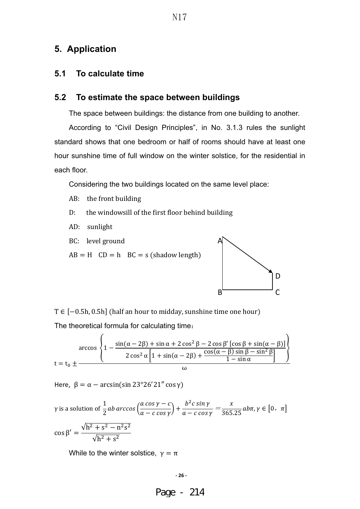#### **5. Application**

#### **5.1 To calculate time**

#### **5.2 To estimate the space between buildings**

The space between buildings: the distance from one building to another.

According to "Civil Design Principles", in No. 3.1.3 rules the sunlight standard shows that one bedroom or half of rooms should have at least one hour sunshine time of full window on the winter solstice, for the residential in each floor.

Considering the two buildings located on the same level place:

- AB: the front building
- D: the windowsill of the first floor behind building
- AD: sunlight
- BC: level ground
- $AB = H$  CD = h BC = s (shadow length)



T ∈ [-0.5h, 0.5h] (half an hour to midday, sunshine time one hour) The theoretical formula for calculating time:

$$
\arccos\left\{1 - \frac{\sin(\alpha - 2\beta) + \sin \alpha + 2\cos^2 \beta - 2\cos \beta' \left[\cos \beta + \sin(\alpha - \beta)\right]}{2\cos^2 \alpha \left[1 + \sin(\alpha - 2\beta) + \frac{\cos(\alpha - \beta)\sin \beta - \sin^2 \beta}{1 - \sin \alpha}\right]}\right\}
$$

Here,  $\beta = \alpha - \arcsin(\sin 23^\circ 26' 21'' \cos \gamma)$ 

$$
\gamma \text{ is a solution of } \frac{1}{2}ab\arccos\left(\frac{a\cos\gamma - c}{a - c\cos\gamma}\right) + \frac{b^2c\sin\gamma}{a - c\cos\gamma} = \frac{x}{365.25}ab\pi, \gamma \in [0, \pi]
$$

$$
\cos\beta' = \frac{\sqrt{h^2 + s^2 - n^2s^2}}{\sqrt{h^2 + s^2}}
$$

While to the winter solstice,  $\gamma = \pi$ 

#### **- 26 -**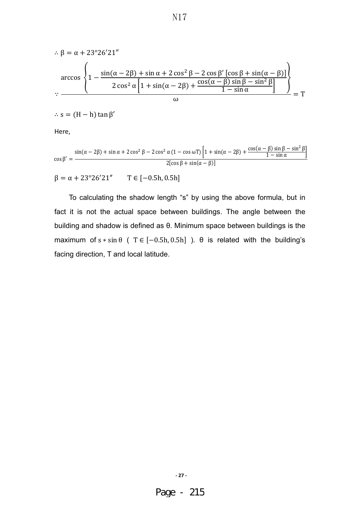$$
\therefore \beta = \alpha + 23^{\circ}26'21''
$$
  
\n
$$
\arccos \left\{ 1 - \frac{\sin(\alpha - 2\beta) + \sin \alpha + 2\cos^2 \beta - 2\cos \beta' [\cos \beta + \sin(\alpha - \beta)]}{2\cos^2 \alpha \left[ 1 + \sin(\alpha - 2\beta) + \frac{\cos(\alpha - \beta)\sin \beta - \sin^2 \beta}{1 - \sin \alpha} \right]} \right\}
$$
  
\n
$$
\therefore \frac{\cos(\alpha - \beta) + \cos(\alpha - \beta) \sin \beta - \sin^2 \beta}{\omega} = T
$$

N17

 $∴ s = (H – h) tan β'$ 

Here,

$$
\cos \beta' = \frac{\sin(\alpha - 2\beta) + \sin \alpha + 2\cos^2 \beta - 2\cos^2 \alpha (1 - \cos \omega T) \left[1 + \sin(\alpha - 2\beta) + \frac{\cos(\alpha - \beta)\sin \beta - \sin^2 \beta}{1 - \sin \alpha}\right]}{2[\cos \beta + \sin(\alpha - \beta)]}
$$

 $β = α + 23°26'21''$  T ∈ [-0.5h, 0.5h]

To calculating the shadow length "s" by using the above formula, but in fact it is not the actual space between buildings. The angle between the building and shadow is defined as θ. Minimum space between buildings is the maximum of  $s * sin \theta$  ( T  $\in [-0.5h, 0.5h]$  ).  $\theta$  is related with the building's facing direction, T and local latitude.